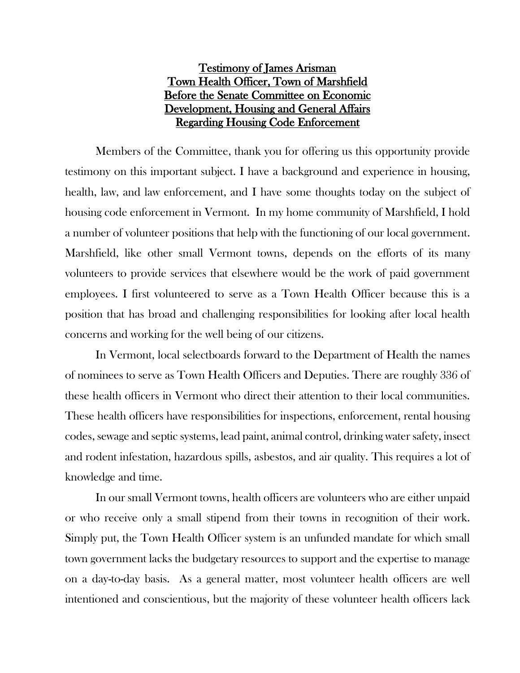## Testimony of James Arisman Town Health Officer, Town of Marshfield Before the Senate Committee on Economic Development, Housing and General Affairs Regarding Housing Code Enforcement

Members of the Committee, thank you for offering us this opportunity provide testimony on this important subject. I have a background and experience in housing, health, law, and law enforcement, and I have some thoughts today on the subject of housing code enforcement in Vermont. In my home community of Marshfield, I hold a number of volunteer positions that help with the functioning of our local government. Marshfield, like other small Vermont towns, depends on the efforts of its many volunteers to provide services that elsewhere would be the work of paid government employees. I first volunteered to serve as a Town Health Officer because this is a position that has broad and challenging responsibilities for looking after local health concerns and working for the well being of our citizens.

In Vermont, local selectboards forward to the Department of Health the names of nominees to serve as Town Health Officers and Deputies. There are roughly 336 of these health officers in Vermont who direct their attention to their local communities. These health officers have responsibilities for inspections, enforcement, rental housing codes, sewage and septic systems, lead paint, animal control, drinking water safety, insect and rodent infestation, hazardous spills, asbestos, and air quality. This requires a lot of knowledge and time.

In our small Vermont towns, health officers are volunteers who are either unpaid or who receive only a small stipend from their towns in recognition of their work. Simply put, the Town Health Officer system is an unfunded mandate for which small town government lacks the budgetary resources to support and the expertise to manage on a day-to-day basis. As a general matter, most volunteer health officers are well intentioned and conscientious, but the majority of these volunteer health officers lack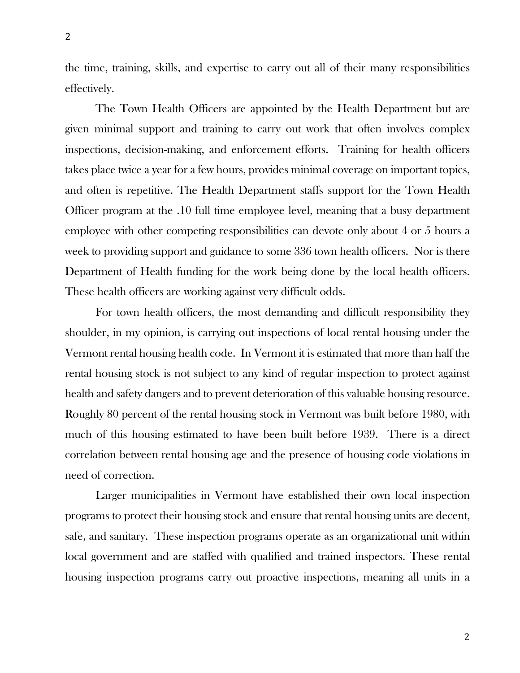the time, training, skills, and expertise to carry out all of their many responsibilities effectively.

The Town Health Officers are appointed by the Health Department but are given minimal support and training to carry out work that often involves complex inspections, decision-making, and enforcement efforts. Training for health officers takes place twice a year for a few hours, provides minimal coverage on important topics, and often is repetitive. The Health Department staffs support for the Town Health Officer program at the .10 full time employee level, meaning that a busy department employee with other competing responsibilities can devote only about 4 or 5 hours a week to providing support and guidance to some 336 town health officers. Nor is there Department of Health funding for the work being done by the local health officers. These health officers are working against very difficult odds.

For town health officers, the most demanding and difficult responsibility they shoulder, in my opinion, is carrying out inspections of local rental housing under the Vermont rental housing health code. In Vermont it is estimated that more than half the rental housing stock is not subject to any kind of regular inspection to protect against health and safety dangers and to prevent deterioration of this valuable housing resource. Roughly 80 percent of the rental housing stock in Vermont was built before 1980, with much of this housing estimated to have been built before 1939. There is a direct correlation between rental housing age and the presence of housing code violations in need of correction.

Larger municipalities in Vermont have established their own local inspection programs to protect their housing stock and ensure that rental housing units are decent, safe, and sanitary. These inspection programs operate as an organizational unit within local government and are staffed with qualified and trained inspectors. These rental housing inspection programs carry out proactive inspections, meaning all units in a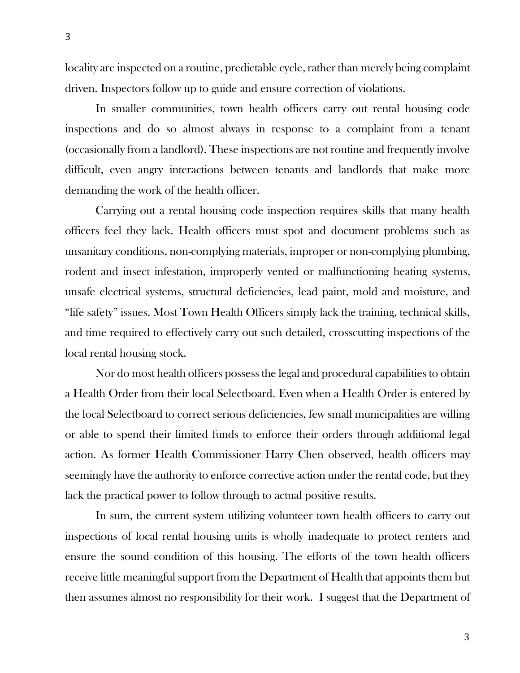locality are inspected on a routine, predictable cycle, rather than merely being complaint driven. Inspectors follow up to guide and ensure correction of violations.

In smaller communities, town health officers carry out rental housing code inspections and do so almost always in response to a complaint from a tenant (occasionally from a landlord). These inspections are not routine and frequently involve difficult, even angry interactions between tenants and landlords that make more demanding the work of the health officer.

Carrying out a rental housing code inspection requires skills that many health officers feel they lack. Health officers must spot and document problems such as unsanitary conditions, non-complying materials, improper or non-complying plumbing, rodent and insect infestation, improperly vented or malfunctioning heating systems, unsafe electrical systems, structural deficiencies, lead paint, mold and moisture, and "life safety" issues. Most Town Health Officers simply lack the training, technical skills, and time required to effectively carry out such detailed, crosscutting inspections of the local rental housing stock.

Nor do most health officers possess the legal and procedural capabilities to obtain a Health Order from their local Selectboard. Even when a Health Order is entered by the local Selectboard to correct serious deficiencies, few small municipalities are willing or able to spend their limited funds to enforce their orders through additional legal action. As former Health Commissioner Harry Chen observed, health officers may seemingly have the authority to enforce corrective action under the rental code, but they lack the practical power to follow through to actual positive results.

In sum, the current system utilizing volunteer town health officers to carry out inspections of local rental housing units is wholly inadequate to protect renters and ensure the sound condition of this housing. The efforts of the town health officers receive little meaningful support from the Department of Health that appoints them but then assumes almost no responsibility for their work. I suggest that the Department of